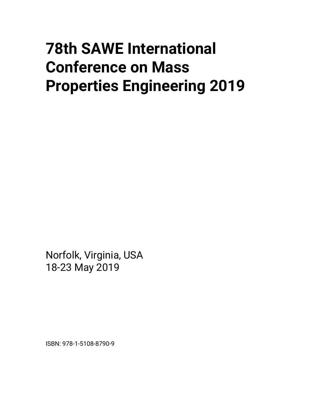# **78th SAWE International Conference on Mass Properties Engineering 2019**

Norfolk, Virginia, USA 18-23 May 2019

ISBN: 978-1-5108-8790-9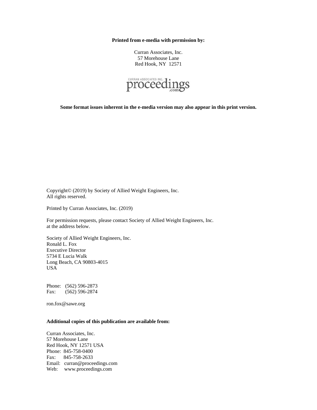**Printed from e-media with permission by:** 

Curran Associates, Inc. 57 Morehouse Lane Red Hook, NY 12571



**Some format issues inherent in the e-media version may also appear in this print version.** 

Copyright© (2019) by Society of Allied Weight Engineers, Inc. All rights reserved.

Printed by Curran Associates, Inc. (2019)

For permission requests, please contact Society of Allied Weight Engineers, Inc. at the address below.

Society of Allied Weight Engineers, Inc. Ronald L. Fox Executive Director 5734 E Lucia Walk Long Beach, CA 90803-4015 USA

Phone: (562) 596-2873 Fax: (562) 596-2874

ron.fox@sawe.org

#### **Additional copies of this publication are available from:**

Curran Associates, Inc. 57 Morehouse Lane Red Hook, NY 12571 USA Phone: 845-758-0400 Fax: 845-758-2633 Email: curran@proceedings.com Web: www.proceedings.com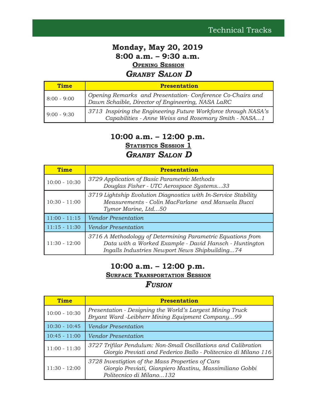# **Monday, May 20, 2019 8:00 a.m. – 9:30 a.m. OPENING SESSION** *GRANBY SALON D*

| <b>Time</b>   | <b>Presentation</b>                                                                                                    |
|---------------|------------------------------------------------------------------------------------------------------------------------|
| $8:00 - 9:00$ | Opening Remarks and Presentation-Conference Co-Chairs and<br>Dawn Schaible, Director of Engineering, NASA LaRC         |
| $9:00 - 9:30$ | 3713 Inspiring the Engineering Future Workforce through NASA's<br>Capabilities - Anne Weiss and Rosemary Smith - NASA1 |

# **10:00 a.m. – 12:00 p.m.**

**STATISTICS SESSION 1**

## *GRANBY SALON D*

| <b>Time</b>     | <b>Presentation</b>                                                                                                                                                     |
|-----------------|-------------------------------------------------------------------------------------------------------------------------------------------------------------------------|
| $10:00 - 10:30$ | 3729 Application of Basic Parametric Methods<br>Douglas Fisher - UTC Aerospace Systems33                                                                                |
| $10:30 - 11:00$ | 3719 Lightship Evolution Diagnostics with In-Service Stability<br>Measurements - Colin MacFarlane and Manuela Bucci<br>Tymor Marine, Ltd50                              |
| $11:00 - 11:15$ | <b>Vendor Presentation</b>                                                                                                                                              |
| $11:15 - 11:30$ | <b>Vendor Presentation</b>                                                                                                                                              |
| $11:30 - 12:00$ | 3716 A Methodology of Determining Parametric Equations from<br>Data with a Worked Example - David Hansch - Huntington<br>Ingalls Industries Newport News Shipbuilding74 |

# **10:00 a.m. – 12:00 p.m.**

**SURFACE TRANSPORTATION SESSION** 

| <b>Time</b>     | <b>Presentation</b>                                                                                                                     |
|-----------------|-----------------------------------------------------------------------------------------------------------------------------------------|
| $10:00 - 10:30$ | Presentation - Designing the World's Largest Mining Truck<br>Bruant Ward -Leibherr Mining Equipment Company99                           |
| $10:30 - 10:45$ | <b>Vendor Presentation</b>                                                                                                              |
| $10:45 - 11:00$ | <b>Vendor Presentation</b>                                                                                                              |
| $11:00 - 11:30$ | 3727 Trifilar Pendulum: Non-Small Oscillations and Calibration<br>Giorgio Previati and Federico Ballo - Politecnico di Milano 116       |
| $11:30 - 12:00$ | 3728 Investigtion of the Mass Properties of Cars<br>Giorgio Previati, Gianpiero Mastinu, Massimiliano Gobbi<br>Politecnico di Milano132 |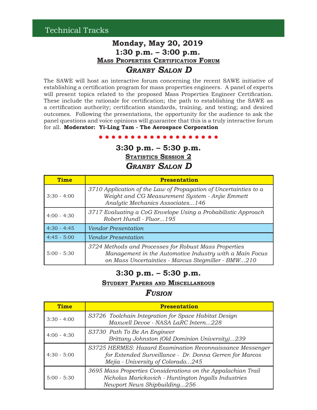# **Monday, May 20, 2019 1:30 p.m. – 3:00 p.m. MASS PROPERTIES CERTIFICATION FORUM** *GRANBY SALON D*

The SAWE will host an interactive forum concerning the recent SAWE initiative of establishing a certification program for mass properties engineers. A panel of experts will present topics related to the proposed Mass Properties Engineer Certification. These include the rationale for certification; the path to establishing the SAWE as a certification authority; certification standards, training, and testing; and desired outcomes. Following the presentations, the opportunity for the audience to ask the panel questions and voice opinions will guarantee that this is a truly interactive forum for all. **Moderator: Yi-Ling Tam - The Aerospace Corporation**

**3:30 p.m. – 5:30 p.m.**

**STATISTICS SESSION 2**

*GRANBY SALON D*

| <b>Time</b>   | <b>Presentation</b>                                                                                                                                                    |
|---------------|------------------------------------------------------------------------------------------------------------------------------------------------------------------------|
| $3:30 - 4:00$ | 3710 Application of the Law of Propagation of Uncertainties to a<br>Weight and CG Measurement System - Anjie Emmett<br>Analytic Mechanics Associates146                |
| $4:00 - 4:30$ | 3717 Evaluating a CoG Envelope Using a Probabilistic Approach<br>Robert Hundl - Fluor195                                                                               |
| $4:30 - 4:45$ | <b>Vendor Presentation</b>                                                                                                                                             |
| $4:45 - 5:00$ | <b>Vendor Presentation</b>                                                                                                                                             |
| $5:00 - 5:30$ | 3724 Methods and Processes for Robust Mass Properties<br>Management in the Automotive Industry with a Main Focus<br>on Mass Uncertainties - Marcus Stegmiller - BMW210 |

## **3:30 p.m. – 5:30 p.m.**

#### **STUDENT PAPERS AND MISCELLANEOUS**

| <b>Time</b>   | <b>Presentation</b>                                                                                                                                       |
|---------------|-----------------------------------------------------------------------------------------------------------------------------------------------------------|
| $3:30 - 4:00$ | S3726 Toolchain Integration for Space Habitat Design<br>Maxwell Devoe - NASA LaRC Intern228                                                               |
| $4:00 - 4:30$ | S3730 Path To Be An Engineer<br>Brittany Johnston (Old Dominion University)239                                                                            |
| $4:30 - 5:00$ | S3725 HERMES: Hazard Examination Reconnaissance Messenger<br>for Extended Surveillance - Dr. Donna Gerren for Marcos<br>Mejia - University of Colorado245 |
| $5:00 - 5:30$ | 3695 Mass Properties Considerations on the Appalachian Trail<br>Nicholas Marickovich - Huntington Ingalls Industries<br>Newport News Shipbuilding256      |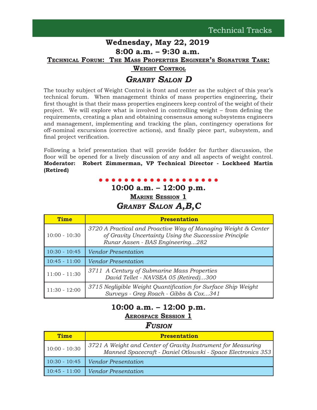#### **Wednesday, May 22, 2019 8:00 a.m. – 9:30 a.m.**

**TECHNICAL FORUM: THE MASS PROPERTIES ENGINEER'S SIGNATURE TASK:**

 **WEIGHT CONTROL**

# *GRANBY SALON D*

The touchy subject of Weight Control is front and center as the subject of this year's technical forum. When management thinks of mass properties engineering, their first thought is that their mass properties engineers keep control of the weight of their project. We will explore what is involved in controlling weight  $-$  from defining the requirements, creating a plan and obtaining consensus among subsystems engineers and management, implementing and tracking the plan, contingency operations for off-nominal excursions (corrective actions), and À nally piece part, subsystem, and final project verification.

Following a brief presentation that will provide fodder for further discussion, the floor will be opened for a lively discussion of any and all aspects of weight control. **Moderator: Robert Zimmerman, VP Technical Director - Lockheed Martin (Retired)**

# **10:00 a.m. – 12:00 p.m.**

**MARINE SESSION 1** *GRANBY SALON A,B,C*

| <b>Time</b>     | <b>Presentation</b>                                                                                                                                         |
|-----------------|-------------------------------------------------------------------------------------------------------------------------------------------------------------|
| $10:00 - 10:30$ | 3720 A Practical and Proactive Way of Managing Weight & Center<br>of Gravity Uncertainty Using the Successive Principle<br>Runar Aasen - BAS Engineering282 |
| $10:30 - 10:45$ | <b>Vendor Presentation</b>                                                                                                                                  |
| $10:45 - 11:00$ | <b>Vendor Presentation</b>                                                                                                                                  |
| $11:00 - 11:30$ | 3711 A Century of Submarine Mass Properties<br>David Tellet - NAVSEA 05 (Retired)300                                                                        |
| $11:30 - 12:00$ | 3715 Negligible Weight Quantification for Surface Ship Weight<br>Surveys - Greg Roach - Gibbs & Cox341                                                      |

# **10:00 a.m. – 12:00 p.m. AEROSPACE SESSION 1**

| <b>Time</b>     | <b>Presentation</b>                                                                                                         |
|-----------------|-----------------------------------------------------------------------------------------------------------------------------|
| $10:00 - 10:30$ | 3721 A Weight and Center of Gravity Instrument for Measuring<br>Manned Spacecraft - Daniel Otlowski - Space Electronics 353 |
|                 | $10:30 - 10:45$ Vendor Presentation                                                                                         |
|                 | 10:45 - 11:00   Vendor Presentation                                                                                         |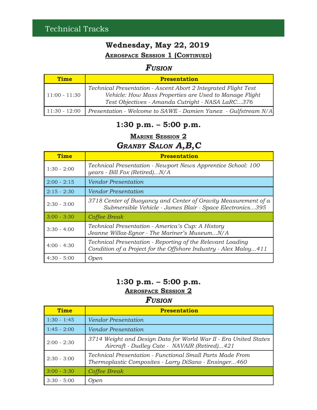# **Wednesday, May 22, 2019 AEROSPACE SESSION 1 (CONTINUED)**

# *FUSION*

| <b>Time</b>     | <b>Presentation</b>                                                                                                                                                          |
|-----------------|------------------------------------------------------------------------------------------------------------------------------------------------------------------------------|
| $11:00 - 11:30$ | Technical Presentation - Ascent Abort 2 Integrated Flight Test<br>Vehicle: How Mass Properties are Used to Manage Flight<br>Test Objectives - Amanda Cutright - NASA LaRC376 |
| $11:30 - 12:00$ | Presentation - Welcome to SAWE - Damien Yanez - Gulfstream N/A                                                                                                               |

# **1:30 p.m. – 5:00 p.m.**

**MARINE SESSION 2**

# *GRANBY SALON A,B,C*

| <b>Time</b>   | <b>Presentation</b>                                                                                                            |
|---------------|--------------------------------------------------------------------------------------------------------------------------------|
| $1:30 - 2:00$ | Technical Presentation - Newport News Apprentice School: 100<br>years - Bill Fox (Retired)N/A                                  |
| $2:00 - 2:15$ | <b>Vendor Presentation</b>                                                                                                     |
| $2:15 - 2:30$ | <b>Vendor Presentation</b>                                                                                                     |
| $2:30 - 3:00$ | 3718 Center of Buoyancy and Center of Gravity Measurement of a<br>Submersible Vehicle - James Blair - Space Electronics395     |
| $3:00 - 3:30$ | Coffee Break                                                                                                                   |
| $3:30 - 4:00$ | Technical Presentation - America's Cup: A History<br>Jeanne Willoz-Eqnor - The Mariner's MuseumN/A                             |
| $4:00 - 4:30$ | Technical Presentation - Reporting of the Relevant Loading<br>Condition of a Project for the Offshore Industry - Alex Maloy411 |
| $4:30 - 5:00$ | <i>Open</i>                                                                                                                    |

# **1:30 p.m. – 5:00 p.m.**

## **AEROSPACE SESSION 2**

| <b>Time</b>   | <b>Presentation</b>                                                                                                |
|---------------|--------------------------------------------------------------------------------------------------------------------|
| $1:30 - 1:45$ | <b>Vendor Presentation</b>                                                                                         |
| $1:45 - 2:00$ | <b>Vendor Presentation</b>                                                                                         |
| $2:00 - 2:30$ | 3714 Weight and Design Data for World War II - Era United States<br>Aircraft - Dudley Cate - NAVAIR (Retired)421   |
| $2:30 - 3:00$ | Technical Presentation - Functional Small Parts Made From<br>Thermoplastic Composites - Larry DiSano - Ensinger460 |
| $3:00 - 3:30$ | Coffee Break                                                                                                       |
| $3:30 - 5:00$ | Open                                                                                                               |